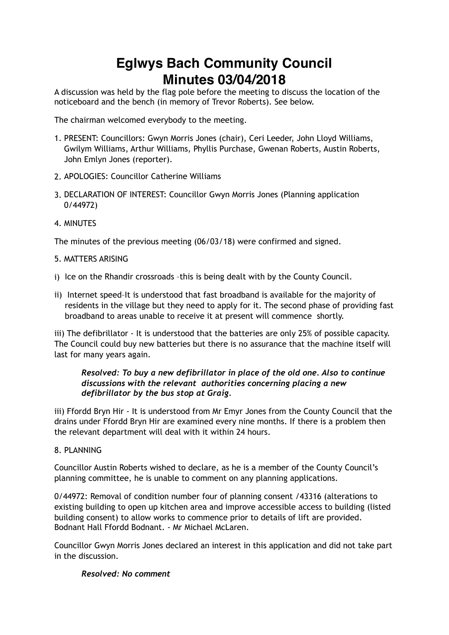# **Eglwys Bach Community Council Minutes 03/04/2018**

A discussion was held by the flag pole before the meeting to discuss the location of the noticeboard and the bench (in memory of Trevor Roberts). See below.

The chairman welcomed everybody to the meeting.

- 1. PRESENT: Councillors: Gwyn Morris Jones (chair), Ceri Leeder, John Lloyd Williams, Gwilym Williams, Arthur Williams, Phyllis Purchase, Gwenan Roberts, Austin Roberts, John Emlyn Jones (reporter).
- 2. APOLOGIES: Councillor Catherine Williams
- 3. DECLARATION OF INTEREST: Councillor Gwyn Morris Jones (Planning application 0/44972)
- 4. MINUTES

The minutes of the previous meeting (06/03/18) were confirmed and signed.

## 5. MATTERS ARISING

- i) Ice on the Rhandir crossroads –this is being dealt with by the County Council.
- ii) Internet speed–It is understood that fast broadband is available for the majority of residents in the village but they need to apply for it. The second phase of providing fast broadband to areas unable to receive it at present will commence shortly.

iii) The defibrillator - It is understood that the batteries are only 25% of possible capacity. The Council could buy new batteries but there is no assurance that the machine itself will last for many years again.

# *Resolved: To buy a new defibrillator in place of the old one. Also to continue discussions with the relevant authorities concerning placing a new defibrillator by the bus stop at Graig.*

iii) Ffordd Bryn Hir - It is understood from Mr Emyr Jones from the County Council that the drains under Ffordd Bryn Hir are examined every nine months. If there is a problem then the relevant department will deal with it within 24 hours.

# 8. PLANNING

Councillor Austin Roberts wished to declare, as he is a member of the County Council's planning committee, he is unable to comment on any planning applications.

0/44972: Removal of condition number four of planning consent /43316 (alterations to existing building to open up kitchen area and improve accessible access to building (listed building consent) to allow works to commence prior to details of lift are provided. Bodnant Hall Ffordd Bodnant. - Mr Michael McLaren.

Councillor Gwyn Morris Jones declared an interest in this application and did not take part in the discussion.

### *Resolved: No comment*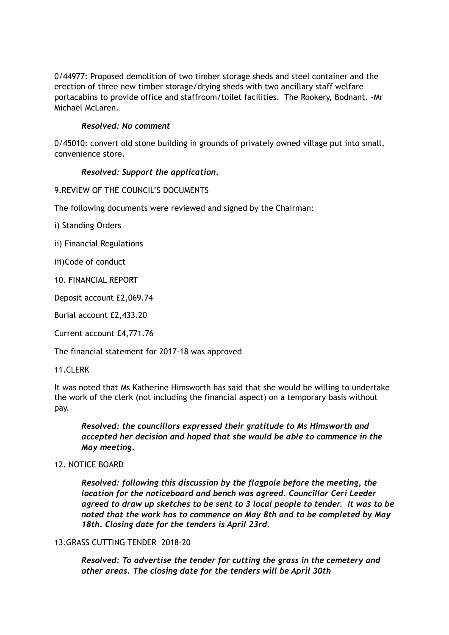0/44977: Proposed demolition of two timber storage sheds and steel container and the erection of three new timber storage/drying sheds with two ancillary staff welfare portacabins to provide office and staffroom/toilet facilities. The Rookery, Bodnant. -Mr Michael McLaren.

## *Resolved: No comment*

0/45010: convert old stone building in grounds of privately owned village put into small, convenience store.

## *Resolved: Support the application.*

## 9.REVIEW OF THE COUNCIL'S DOCUMENTS

The following documents were reviewed and signed by the Chairman:

i) Standing Orders

ii) Financial Regulations

iii)Code of conduct

10. FINANCIAL REPORT

Deposit account £2,069.74

Burial account £2,433.20

Current account £4,771.76

The financial statement for 2017-18 was approved

### 11.CLERK

It was noted that Ms Katherine Himsworth has said that she would be willing to undertake the work of the clerk (not including the financial aspect) on a temporary basis without pay.

*Resolved: the councillors expressed their gratitude to Ms Himsworth and accepted her decision and hoped that she would be able to commence in the May meeting.*

### 12. NOTICE BOARD

 *Resolved: following this discussion by the flagpole before the meeting, the location for the noticeboard and bench was agreed. Councillor Ceri Leeder agreed to draw up sketches to be sent to 3 local people to tender. It was to be noted that the work has to commence on May 8th and to be completed by May 18th. Closing date for the tenders is April 23rd.*

### 13.GRASS CUTTING TENDER 2018-20

*Resolved: To advertise the tender for cutting the grass in the cemetery and other areas. The closing date for the tenders will be April 30th*